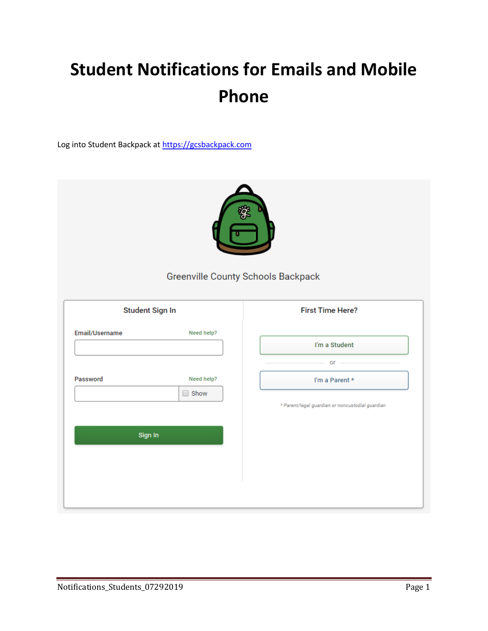# **Student Notifications for Emails and Mobile Phone**

Log into Student Backpack a[t https://gcsbackpack.com](https://gcsbackpack.com/)

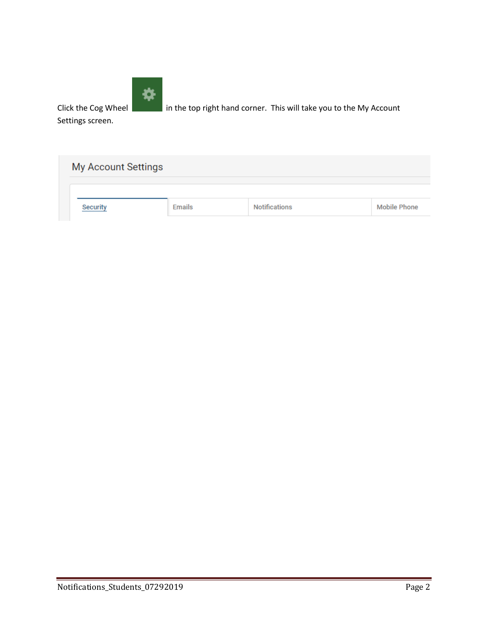

Click the Cog Wheel in the top right hand corner. This will take you to the My Account

Settings screen.

| My Account Settings |               |                      |                     |
|---------------------|---------------|----------------------|---------------------|
| <b>Security</b>     | <b>Emails</b> | <b>Notifications</b> | <b>Mobile Phone</b> |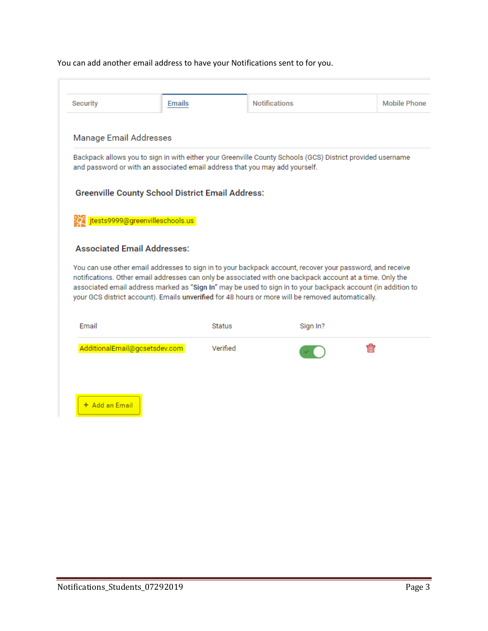# You can add another email address to have your Notifications sent to for you.

| Security                           | <b>Emails</b>                                                               |          | <b>Notifications</b>                                                                                                                                                                                                                                                                                                                                                                                                                        | Mobile Phone |
|------------------------------------|-----------------------------------------------------------------------------|----------|---------------------------------------------------------------------------------------------------------------------------------------------------------------------------------------------------------------------------------------------------------------------------------------------------------------------------------------------------------------------------------------------------------------------------------------------|--------------|
| Manage Email Addresses             |                                                                             |          |                                                                                                                                                                                                                                                                                                                                                                                                                                             |              |
|                                    | and password or with an associated email address that you may add yourself. |          | Backpack allows you to sign in with either your Greenville County Schools (GCS) District provided username                                                                                                                                                                                                                                                                                                                                  |              |
|                                    |                                                                             |          |                                                                                                                                                                                                                                                                                                                                                                                                                                             |              |
|                                    | <b>Greenville County School District Email Address:</b>                     |          |                                                                                                                                                                                                                                                                                                                                                                                                                                             |              |
|                                    | jtests9999@greenvilleschools.us                                             |          |                                                                                                                                                                                                                                                                                                                                                                                                                                             |              |
|                                    |                                                                             |          |                                                                                                                                                                                                                                                                                                                                                                                                                                             |              |
| <b>Associated Email Addresses:</b> |                                                                             |          |                                                                                                                                                                                                                                                                                                                                                                                                                                             |              |
|                                    |                                                                             |          | You can use other email addresses to sign in to your backpack account, recover your password, and receive<br>notifications. Other email addresses can only be associated with one backpack account at a time. Only the<br>associated email address marked as "Sign In" may be used to sign in to your backpack account (in addition to<br>your GCS district account). Emails unverified for 48 hours or more will be removed automatically. |              |
|                                    |                                                                             |          |                                                                                                                                                                                                                                                                                                                                                                                                                                             |              |
| Email                              |                                                                             | Status   | Sign In?                                                                                                                                                                                                                                                                                                                                                                                                                                    |              |
| AdditionalEmail@gcsetsdev.com      |                                                                             | Verified |                                                                                                                                                                                                                                                                                                                                                                                                                                             | 侖            |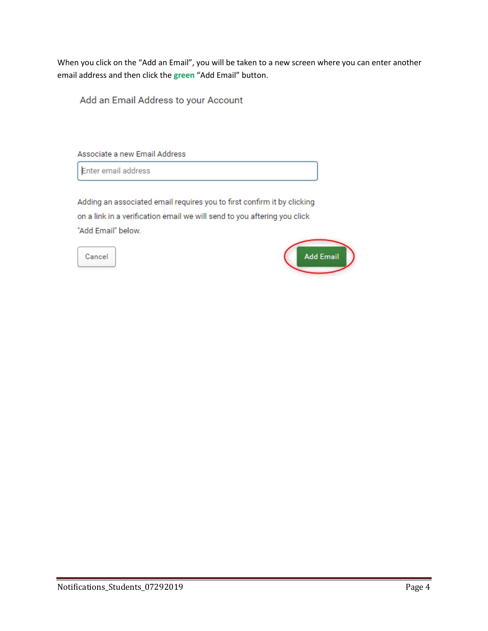When you click on the "Add an Email", you will be taken to a new screen where you can enter another email address and then click the **green** "Add Email" button.

Add an Email Address to your Account

Associate a new Email Address

Enter email address

Adding an associated email requires you to first confirm it by clicking on a link in a verification email we will send to you aftering you click "Add Email" below.

Cancel

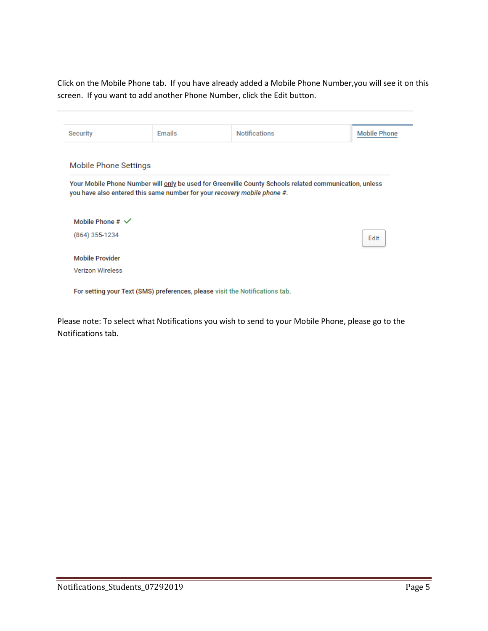Click on the Mobile Phone tab. If you have already added a Mobile Phone Number,you will see it on this screen. If you want to add another Phone Number, click the Edit button.

| Security                    | Emails                                                                                                 | <b>Notifications</b> | <b>Mobile Phone</b> |
|-----------------------------|--------------------------------------------------------------------------------------------------------|----------------------|---------------------|
| Mobile Phone Settings       |                                                                                                        |                      |                     |
|                             |                                                                                                        |                      |                     |
|                             | Your Mobile Phone Number will only be used for Greenville County Schools related communication, unless |                      |                     |
|                             | you have also entered this same number for your recovery mobile phone #.                               |                      |                     |
| Mobile Phone $# \checkmark$ |                                                                                                        |                      |                     |
| (864) 355-1234              |                                                                                                        |                      | Edit                |
| <b>Mobile Provider</b>      |                                                                                                        |                      |                     |

Please note: To select what Notifications you wish to send to your Mobile Phone, please go to the Notifications tab.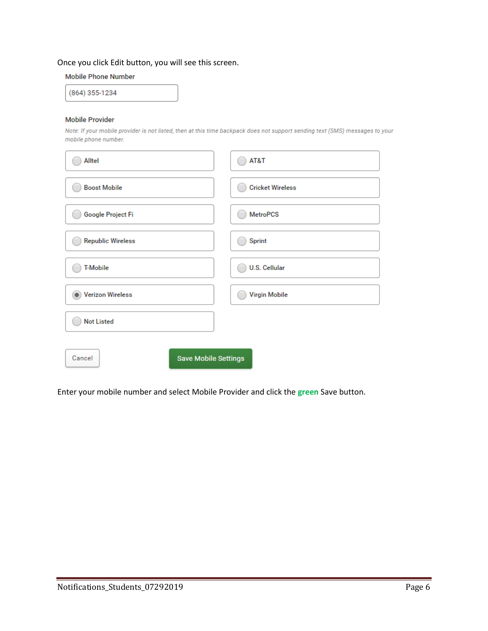## Once you click Edit button, you will see this screen.

## **Mobile Phone Number**

(864) 355-1234

## **Mobile Provider**

Note: If your mobile provider is not listed, then at this time backpack does not support sending text (SMS) messages to your mobile phone number.

| Alltel                                | AT&T                    |
|---------------------------------------|-------------------------|
| <b>Boost Mobile</b>                   | <b>Cricket Wireless</b> |
| Google Project Fi                     | <b>MetroPCS</b>         |
| <b>Republic Wireless</b>              | Sprint                  |
| <b>T-Mobile</b>                       | <b>U.S. Cellular</b>    |
| <b>Verizon Wireless</b>               | Virgin Mobile           |
| <b>Not Listed</b>                     |                         |
| Cancel<br><b>Save Mobile Settings</b> |                         |

Enter your mobile number and select Mobile Provider and click the **green** Save button.